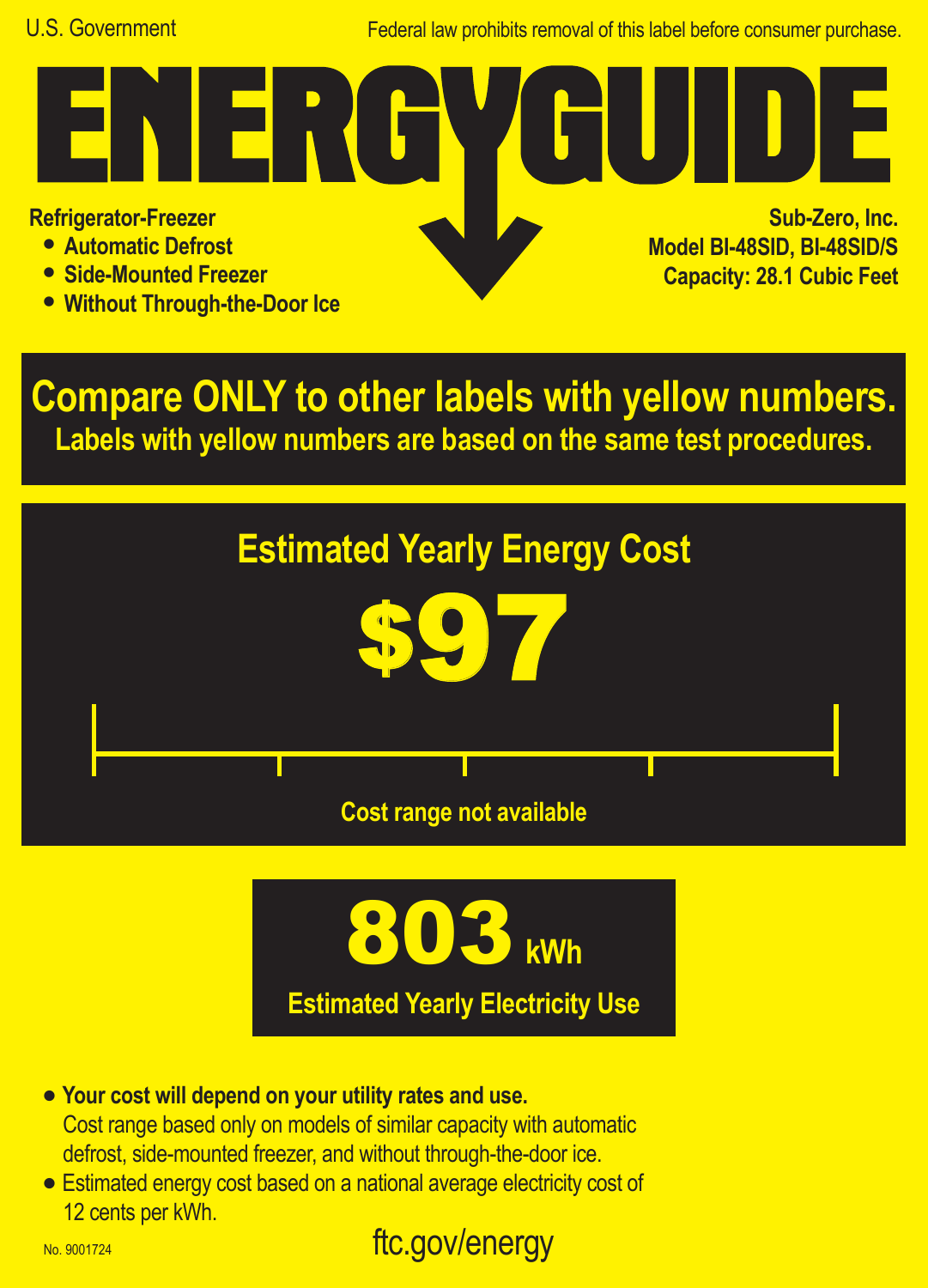Federal law prohibits removal of this label before consumer purchase.

**Refrigerator-Freezer**

- **• Automatic Defrost**
- **• Side-Mounted Freezer**
- **• Without Through-the-Door Ice**

FR.

**Sub-Zero, Inc. Model BI-48SID, BI-48SID/S Capacity: 28.1 Cubic Feet**

**Compare ONLY to other labels with yellow numbers. Labels with yellow numbers are based on the same test procedures.**





- **• Your cost will depend on your utility rates and use.** Cost range based only on models of similar capacity with automatic defrost, side-mounted freezer, and without through-the-door ice.
- **•** Estimated energy cost based on a national average electricity cost of 12 cents per kWh.